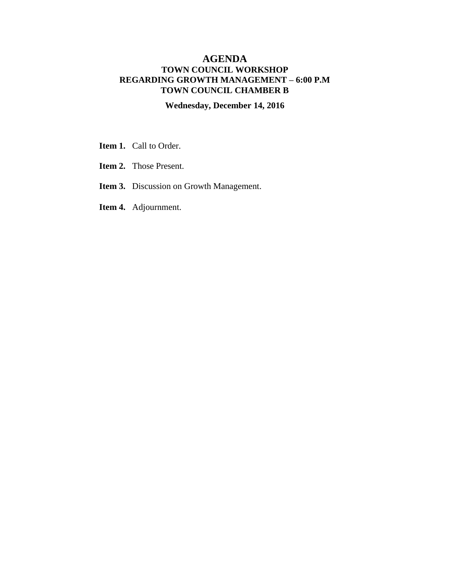## **AGENDA TOWN COUNCIL WORKSHOP REGARDING GROWTH MANAGEMENT – 6:00 P.M TOWN COUNCIL CHAMBER B**

## **Wednesday, December 14, 2016**

- **Item 1.** Call to Order.
- **Item 2.** Those Present.
- **Item 3.** Discussion on Growth Management.
- **Item 4.** Adjournment.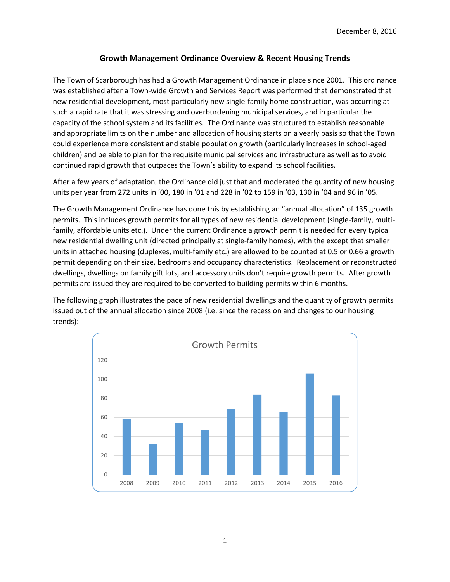### **Growth Management Ordinance Overview & Recent Housing Trends**

The Town of Scarborough has had a Growth Management Ordinance in place since 2001. This ordinance was established after a Town-wide Growth and Services Report was performed that demonstrated that new residential development, most particularly new single-family home construction, was occurring at such a rapid rate that it was stressing and overburdening municipal services, and in particular the capacity of the school system and its facilities. The Ordinance was structured to establish reasonable and appropriate limits on the number and allocation of housing starts on a yearly basis so that the Town could experience more consistent and stable population growth (particularly increases in school-aged children) and be able to plan for the requisite municipal services and infrastructure as well as to avoid continued rapid growth that outpaces the Town's ability to expand its school facilities.

After a few years of adaptation, the Ordinance did just that and moderated the quantity of new housing units per year from 272 units in '00, 180 in '01 and 228 in '02 to 159 in '03, 130 in '04 and 96 in '05.

The Growth Management Ordinance has done this by establishing an "annual allocation" of 135 growth permits. This includes growth permits for all types of new residential development (single-family, multifamily, affordable units etc.). Under the current Ordinance a growth permit is needed for every typical new residential dwelling unit (directed principally at single-family homes), with the except that smaller units in attached housing (duplexes, multi-family etc.) are allowed to be counted at 0.5 or 0.66 a growth permit depending on their size, bedrooms and occupancy characteristics. Replacement or reconstructed dwellings, dwellings on family gift lots, and accessory units don't require growth permits. After growth permits are issued they are required to be converted to building permits within 6 months.

The following graph illustrates the pace of new residential dwellings and the quantity of growth permits issued out of the annual allocation since 2008 (i.e. since the recession and changes to our housing trends):

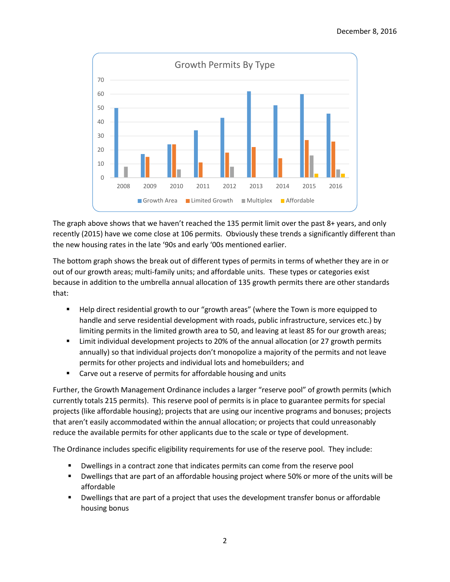

The graph above shows that we haven't reached the 135 permit limit over the past 8+ years, and only recently (2015) have we come close at 106 permits. Obviously these trends a significantly different than the new housing rates in the late '90s and early '00s mentioned earlier.

The bottom graph shows the break out of different types of permits in terms of whether they are in or out of our growth areas; multi-family units; and affordable units. These types or categories exist because in addition to the umbrella annual allocation of 135 growth permits there are other standards that:

- **Help direct residential growth to our "growth areas" (where the Town is more equipped to** handle and serve residential development with roads, public infrastructure, services etc.) by limiting permits in the limited growth area to 50, and leaving at least 85 for our growth areas;
- Limit individual development projects to 20% of the annual allocation (or 27 growth permits annually) so that individual projects don't monopolize a majority of the permits and not leave permits for other projects and individual lots and homebuilders; and
- **EXTER** Carve out a reserve of permits for affordable housing and units

Further, the Growth Management Ordinance includes a larger "reserve pool" of growth permits (which currently totals 215 permits). This reserve pool of permits is in place to guarantee permits for special projects (like affordable housing); projects that are using our incentive programs and bonuses; projects that aren't easily accommodated within the annual allocation; or projects that could unreasonably reduce the available permits for other applicants due to the scale or type of development.

The Ordinance includes specific eligibility requirements for use of the reserve pool. They include:

- Dwellings in a contract zone that indicates permits can come from the reserve pool
- Dwellings that are part of an affordable housing project where 50% or more of the units will be affordable
- Dwellings that are part of a project that uses the development transfer bonus or affordable housing bonus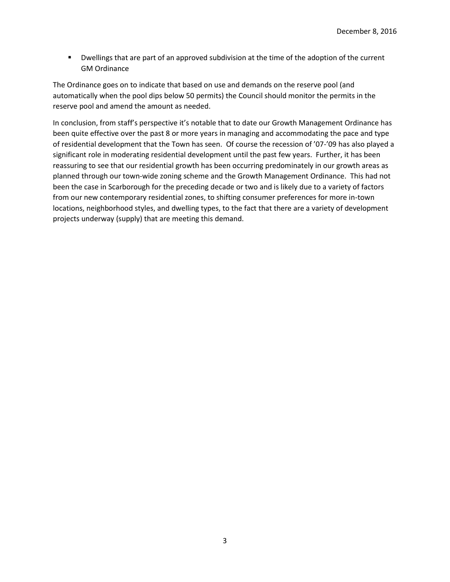Dwellings that are part of an approved subdivision at the time of the adoption of the current GM Ordinance

The Ordinance goes on to indicate that based on use and demands on the reserve pool (and automatically when the pool dips below 50 permits) the Council should monitor the permits in the reserve pool and amend the amount as needed.

In conclusion, from staff's perspective it's notable that to date our Growth Management Ordinance has been quite effective over the past 8 or more years in managing and accommodating the pace and type of residential development that the Town has seen. Of course the recession of '07-'09 has also played a significant role in moderating residential development until the past few years. Further, it has been reassuring to see that our residential growth has been occurring predominately in our growth areas as planned through our town-wide zoning scheme and the Growth Management Ordinance. This had not been the case in Scarborough for the preceding decade or two and is likely due to a variety of factors from our new contemporary residential zones, to shifting consumer preferences for more in-town locations, neighborhood styles, and dwelling types, to the fact that there are a variety of development projects underway (supply) that are meeting this demand.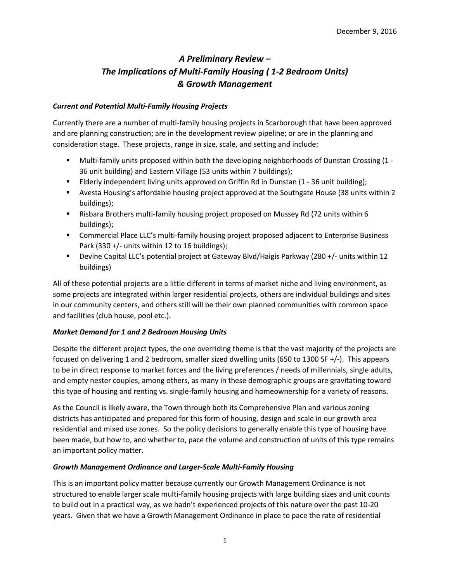# *A Preliminary Review – The Implications of Multi-Family Housing ( 1-2 Bedroom Units) & Growth Management*

#### *Current and Potential Multi-Family Housing Projects*

Currently there are a number of multi-family housing projects in Scarborough that have been approved and are planning construction; are in the development review pipeline; or are in the planning and consideration stage. These projects, range in size, scale, and setting and include:

- Multi-family units proposed within both the developing neighborhoods of Dunstan Crossing (1 36 unit building) and Eastern Village (53 units within 7 buildings);
- **Elderly independent living units approved on Griffin Rd in Dunstan (1 36 unit building);**
- Avesta Housing's affordable housing project approved at the Southgate House (38 units within 2 buildings);
- Risbara Brothers multi-family housing project proposed on Mussey Rd (72 units within 6 buildings);
- **EXECOMMERT COMMET COMMUNIMED IN A SUMMA COMMUNIOUS COMMUNIST COMMUNIST** Commercial Place LLC's multi-family housiness Park (330 +/- units within 12 to 16 buildings);
- Devine Capital LLC's potential project at Gateway Blvd/Haigis Parkway (280 +/- units within 12 buildings)

All of these potential projects are a little different in terms of market niche and living environment, as some projects are integrated within larger residential projects, others are individual buildings and sites in our community centers, and others still will be their own planned communities with common space and facilities (club house, pool etc.).

#### *Market Demand for 1 and 2 Bedroom Housing Units*

Despite the different project types, the one overriding theme is that the vast majority of the projects are focused on delivering 1 and 2 bedroom, smaller sized dwelling units (650 to 1300 SF +/-). This appears to be in direct response to market forces and the living preferences / needs of millennials, single adults, and empty nester couples, among others, as many in these demographic groups are gravitating toward this type of housing and renting vs. single-family housing and homeownership for a variety of reasons.

As the Council is likely aware, the Town through both its Comprehensive Plan and various zoning districts has anticipated and prepared for this form of housing, design and scale in our growth area residential and mixed use zones. So the policy decisions to generally enable this type of housing have been made, but how to, and whether to, pace the volume and construction of units of this type remains an important policy matter.

#### *Growth Management Ordinance and Larger-Scale Multi-Family Housing*

This is an important policy matter because currently our Growth Management Ordinance is not structured to enable larger scale multi-family housing projects with large building sizes and unit counts to build out in a practical way, as we hadn't experienced projects of this nature over the past 10-20 years. Given that we have a Growth Management Ordinance in place to pace the rate of residential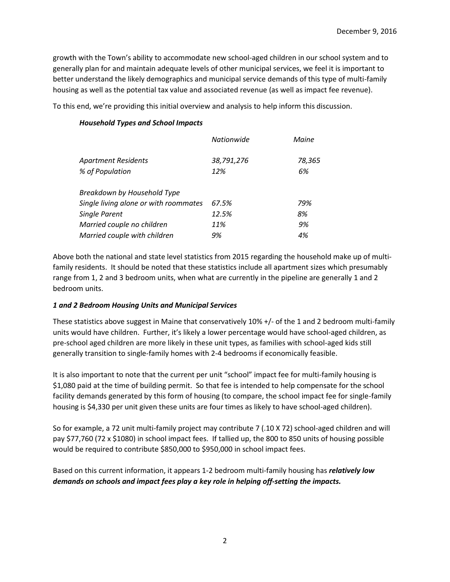growth with the Town's ability to accommodate new school-aged children in our school system and to generally plan for and maintain adequate levels of other municipal services, we feel it is important to better understand the likely demographics and municipal service demands of this type of multi-family housing as well as the potential tax value and associated revenue (as well as impact fee revenue).

To this end, we're providing this initial overview and analysis to help inform this discussion.

#### *Household Types and School Impacts*

|                                       | Nationwide | Maine  |
|---------------------------------------|------------|--------|
| Apartment Residents                   | 38,791,276 | 78,365 |
| % of Population                       | 12%        | 6%     |
| Breakdown by Household Type           |            |        |
| Single living alone or with roommates | 67.5%      | 79%    |
| <b>Single Parent</b>                  | 12.5%      | 8%     |
| Married couple no children            | 11%        | 9%     |
| Married couple with children          | 9%         | 4%     |

Above both the national and state level statistics from 2015 regarding the household make up of multifamily residents. It should be noted that these statistics include all apartment sizes which presumably range from 1, 2 and 3 bedroom units, when what are currently in the pipeline are generally 1 and 2 bedroom units.

#### *1 and 2 Bedroom Housing Units and Municipal Services*

These statistics above suggest in Maine that conservatively 10% +/- of the 1 and 2 bedroom multi-family units would have children. Further, it's likely a lower percentage would have school-aged children, as pre-school aged children are more likely in these unit types, as families with school-aged kids still generally transition to single-family homes with 2-4 bedrooms if economically feasible.

It is also important to note that the current per unit "school" impact fee for multi-family housing is \$1,080 paid at the time of building permit. So that fee is intended to help compensate for the school facility demands generated by this form of housing (to compare, the school impact fee for single-family housing is \$4,330 per unit given these units are four times as likely to have school-aged children).

So for example, a 72 unit multi-family project may contribute 7 (.10 X 72) school-aged children and will pay \$77,760 (72 x \$1080) in school impact fees. If tallied up, the 800 to 850 units of housing possible would be required to contribute \$850,000 to \$950,000 in school impact fees.

Based on this current information, it appears 1-2 bedroom multi-family housing has *relatively low demands on schools and impact fees play a key role in helping off-setting the impacts.*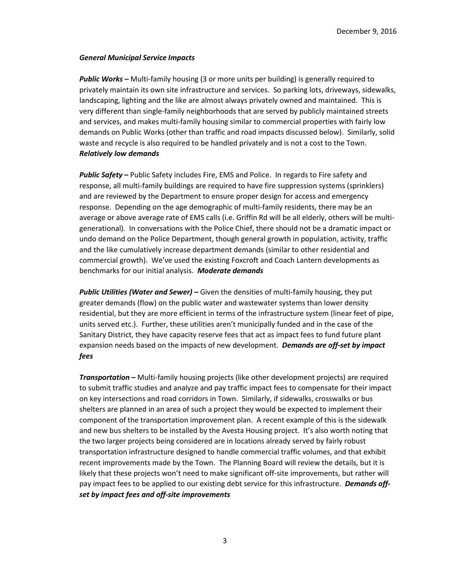#### *General Municipal Service Impacts*

**Public Works** – Multi-family housing (3 or more units per building) is generally required to privately maintain its own site infrastructure and services. So parking lots, driveways, sidewalks, landscaping, lighting and the like are almost always privately owned and maintained. This is very different than single-family neighborhoods that are served by publicly maintained streets and services, and makes multi-family housing similar to commercial properties with fairly low demands on Public Works (other than traffic and road impacts discussed below). Similarly, solid waste and recycle is also required to be handled privately and is not a cost to the Town. *Relatively low demands*

*Public Safety* **–** Public Safety includes Fire, EMS and Police. In regards to Fire safety and response, all multi-family buildings are required to have fire suppression systems (sprinklers) and are reviewed by the Department to ensure proper design for access and emergency response. Depending on the age demographic of multi-family residents, there may be an average or above average rate of EMS calls (i.e. Griffin Rd will be all elderly, others will be multigenerational). In conversations with the Police Chief, there should not be a dramatic impact or undo demand on the Police Department, though general growth in population, activity, traffic and the like cumulatively increase department demands (similar to other residential and commercial growth). We've used the existing Foxcroft and Coach Lantern developments as benchmarks for our initial analysis. *Moderate demands*

*Public Utilities (Water and Sewer)* **–** Given the densities of multi-family housing, they put greater demands (flow) on the public water and wastewater systems than lower density residential, but they are more efficient in terms of the infrastructure system (linear feet of pipe, units served etc.). Further, these utilities aren't municipally funded and in the case of the Sanitary District, they have capacity reserve fees that act as impact fees to fund future plant expansion needs based on the impacts of new development. *Demands are off-set by impact fees*

*Transportation* **–** Multi-family housing projects (like other development projects) are required to submit traffic studies and analyze and pay traffic impact fees to compensate for their impact on key intersections and road corridors in Town. Similarly, if sidewalks, crosswalks or bus shelters are planned in an area of such a project they would be expected to implement their component of the transportation improvement plan. A recent example of this is the sidewalk and new bus shelters to be installed by the Avesta Housing project. It's also worth noting that the two larger projects being considered are in locations already served by fairly robust transportation infrastructure designed to handle commercial traffic volumes, and that exhibit recent improvements made by the Town. The Planning Board will review the details, but it is likely that these projects won't need to make significant off-site improvements, but rather will pay impact fees to be applied to our existing debt service for this infrastructure. *Demands offset by impact fees and off-site improvements*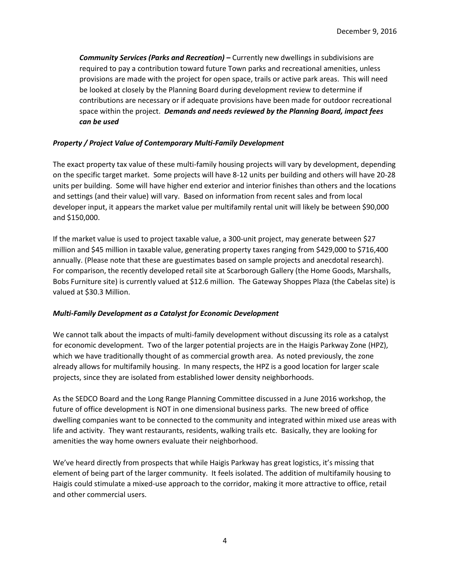*Community Services (Parks and Recreation)* **–** Currently new dwellings in subdivisions are required to pay a contribution toward future Town parks and recreational amenities, unless provisions are made with the project for open space, trails or active park areas. This will need be looked at closely by the Planning Board during development review to determine if contributions are necessary or if adequate provisions have been made for outdoor recreational space within the project. *Demands and needs reviewed by the Planning Board, impact fees can be used*

#### *Property / Project Value of Contemporary Multi-Family Development*

The exact property tax value of these multi-family housing projects will vary by development, depending on the specific target market. Some projects will have 8-12 units per building and others will have 20-28 units per building. Some will have higher end exterior and interior finishes than others and the locations and settings (and their value) will vary. Based on information from recent sales and from local developer input, it appears the market value per multifamily rental unit will likely be between \$90,000 and \$150,000.

If the market value is used to project taxable value, a 300-unit project, may generate between \$27 million and \$45 million in taxable value, generating property taxes ranging from \$429,000 to \$716,400 annually. (Please note that these are guestimates based on sample projects and anecdotal research). For comparison, the recently developed retail site at Scarborough Gallery (the Home Goods, Marshalls, Bobs Furniture site) is currently valued at \$12.6 million. The Gateway Shoppes Plaza (the Cabelas site) is valued at \$30.3 Million.

#### *Multi-Family Development as a Catalyst for Economic Development*

We cannot talk about the impacts of multi-family development without discussing its role as a catalyst for economic development. Two of the larger potential projects are in the Haigis Parkway Zone (HPZ), which we have traditionally thought of as commercial growth area. As noted previously, the zone already allows for multifamily housing. In many respects, the HPZ is a good location for larger scale projects, since they are isolated from established lower density neighborhoods.

As the SEDCO Board and the Long Range Planning Committee discussed in a June 2016 workshop, the future of office development is NOT in one dimensional business parks. The new breed of office dwelling companies want to be connected to the community and integrated within mixed use areas with life and activity. They want restaurants, residents, walking trails etc. Basically, they are looking for amenities the way home owners evaluate their neighborhood.

We've heard directly from prospects that while Haigis Parkway has great logistics, it's missing that element of being part of the larger community. It feels isolated. The addition of multifamily housing to Haigis could stimulate a mixed-use approach to the corridor, making it more attractive to office, retail and other commercial users.